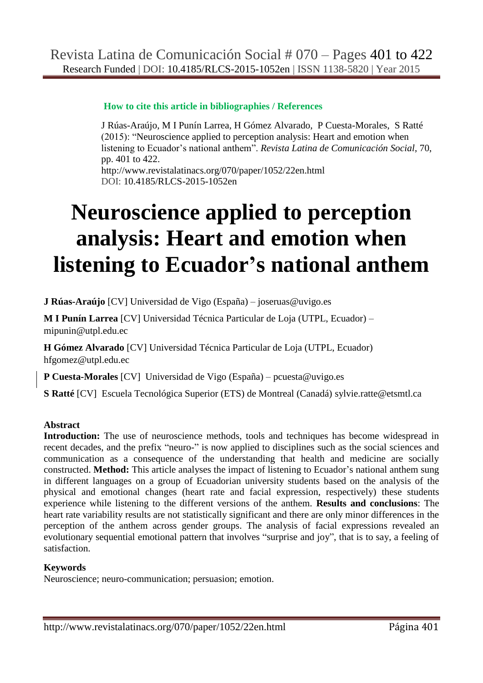# **How to cite this article in bibliographies / References**

J Rúas-Araújo, M I Punín Larrea, H Gómez Alvarado, P Cuesta-Morales, S Ratté (2015): "Neuroscience applied to perception analysis: Heart and emotion when listening to Ecuador"s national anthem". *Revista Latina de Comunicación Social*, 70, pp. 401 to 422. <http://www.revistalatinacs.org/070/paper/1052/22en.html>

DOI: [10.4185/RLCS-2015-1052en](http://dx.doi.org/10.4185/RLCS-2015-1052en)

# **Neuroscience applied to perception analysis: Heart and emotion when listening to Ecuador's national anthem**

**J Rúas-Araújo** [\[CV\]](cv1en.html) Universidad de Vigo (España) – [joseruas@uvigo.es](mailto:joseruas@uvigo.es) 

**M I Punín Larrea** [\[CV\]](cv2en.html) Universidad Técnica Particular de Loja (UTPL, Ecuador) – [mipunin@utpl.edu.ec](mailto:mipunin@utpl.edu.ec)

**H Gómez Alvarado** [\[CV\]](cv3en.html) Universidad Técnica Particular de Loja (UTPL, Ecuador) [hfgomez@utpl.edu.ec](mailto:hfgomez@utpl.edu.ec)

**P Cuesta-Morales** [\[CV\]](cv4en.html) Universidad de Vigo (España) – [pcuesta@uvigo.es](mailto:pcuesta@uvigo.es)

**S Ratté** [\[CV\]](cv5en.html) Escuela Tecnológica Superior (ETS) de Montreal (Canadá) [sylvie.ratte@etsmtl.ca](mailto:sylvie.ratte@etsmtl.ca)

# **Abstract**

Introduction: The use of neuroscience methods, tools and techniques has become widespread in recent decades, and the prefix "neuro-" is now applied to disciplines such as the social sciences and communication as a consequence of the understanding that health and medicine are socially constructed. **Method:** This article analyses the impact of listening to Ecuador"s national anthem sung in different languages on a group of Ecuadorian university students based on the analysis of the physical and emotional changes (heart rate and facial expression, respectively) these students experience while listening to the different versions of the anthem. **Results and conclusions**: The heart rate variability results are not statistically significant and there are only minor differences in the perception of the anthem across gender groups. The analysis of facial expressions revealed an evolutionary sequential emotional pattern that involves "surprise and joy", that is to say, a feeling of satisfaction.

# **Keywords**

Neuroscience; neuro-communication; persuasion; emotion.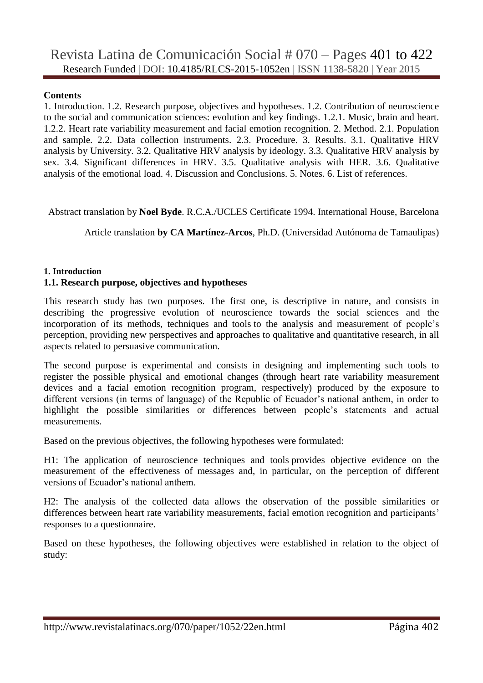#### **Contents**

1. Introduction. 1.2. Research purpose, objectives and hypotheses. 1.2. Contribution of neuroscience to the social and communication sciences: evolution and key findings. 1.2.1. Music, brain and heart. 1.2.2. Heart rate variability measurement and facial emotion recognition. 2. Method. 2.1. Population and sample. 2.2. Data collection instruments. 2.3. Procedure. 3. Results. 3.1. Qualitative HRV analysis by University. 3.2. Qualitative HRV analysis by ideology. 3.3. Qualitative HRV analysis by sex. 3.4. Significant differences in HRV. 3.5. Qualitative analysis with HER. 3.6. Qualitative analysis of the emotional load. 4. Discussion and Conclusions. 5. Notes. 6. List of references.

Abstract translation by **Noel Byde**. R.C.A./UCLES Certificate 1994. International House, Barcelona

Article translation **by CA Martínez-Arcos**, Ph.D. (Universidad Autónoma de Tamaulipas)

#### **1. Introduction**

#### **1.1. Research purpose, objectives and hypotheses**

This research study has two purposes. The first one, is descriptive in nature, and consists in describing the progressive evolution of neuroscience towards the social sciences and the incorporation of its methods, techniques and tools to the analysis and measurement of people"s perception, providing new perspectives and approaches to qualitative and quantitative research, in all aspects related to persuasive communication.

The second purpose is experimental and consists in designing and implementing such tools to register the possible physical and emotional changes (through heart rate variability measurement devices and a facial emotion recognition program, respectively) produced by the exposure to different versions (in terms of language) of the Republic of Ecuador's national anthem, in order to highlight the possible similarities or differences between people"s statements and actual measurements.

Based on the previous objectives, the following hypotheses were formulated:

H1: The application of neuroscience techniques and tools provides objective evidence on the measurement of the effectiveness of messages and, in particular, on the perception of different versions of Ecuador"s national anthem.

H2: The analysis of the collected data allows the observation of the possible similarities or differences between heart rate variability measurements, facial emotion recognition and participants' responses to a questionnaire.

Based on these hypotheses, the following objectives were established in relation to the object of study: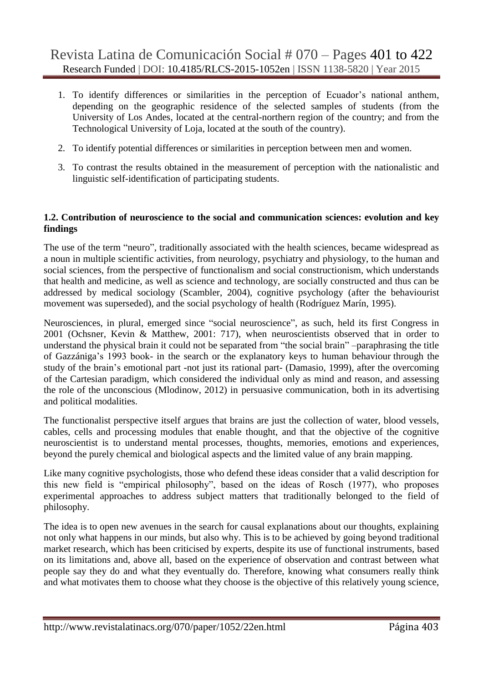- 1. To identify differences or similarities in the perception of Ecuador"s national anthem, depending on the geographic residence of the selected samples of students (from the University of Los Andes, located at the central-northern region of the country; and from the Technological University of Loja, located at the south of the country).
- 2. To identify potential differences or similarities in perception between men and women.
- 3. To contrast the results obtained in the measurement of perception with the nationalistic and linguistic self-identification of participating students.

## **1.2. Contribution of neuroscience to the social and communication sciences: evolution and key findings**

The use of the term "neuro", traditionally associated with the health sciences, became widespread as a noun in multiple scientific activities, from neurology, psychiatry and physiology, to the human and social sciences, from the perspective of functionalism and social constructionism, which understands that health and medicine, as well as science and technology, are socially constructed and thus can be addressed by medical sociology (Scambler, 2004), cognitive psychology (after the behaviourist movement was superseded), and the social psychology of health (Rodríguez Marín, 1995).

Neurosciences, in plural, emerged since "social neuroscience", as such, held its first Congress in 2001 (Ochsner, Kevin & Matthew, 2001: 717), when neuroscientists observed that in order to understand the physical brain it could not be separated from "the social brain" –paraphrasing the title of Gazzániga"s 1993 book- in the search or the explanatory keys to human behaviour through the study of the brain"s emotional part -not just its rational part- (Damasio, 1999), after the overcoming of the Cartesian paradigm, which considered the individual only as mind and reason, and assessing the role of the unconscious (Mlodinow, 2012) in persuasive communication, both in its advertising and political modalities.

The functionalist perspective itself argues that brains are just the collection of water, blood vessels, cables, cells and processing modules that enable thought, and that the objective of the cognitive neuroscientist is to understand mental processes, thoughts, memories, emotions and experiences, beyond the purely chemical and biological aspects and the limited value of any brain mapping.

Like many cognitive psychologists, those who defend these ideas consider that a valid description for this new field is "empirical philosophy", based on the ideas of Rosch (1977), who proposes experimental approaches to address subject matters that traditionally belonged to the field of philosophy.

The idea is to open new avenues in the search for causal explanations about our thoughts, explaining not only what happens in our minds, but also why. This is to be achieved by going beyond traditional market research, which has been criticised by experts, despite its use of functional instruments, based on its limitations and, above all, based on the experience of observation and contrast between what people say they do and what they eventually do. Therefore, knowing what consumers really think and what motivates them to choose what they choose is the objective of this relatively young science,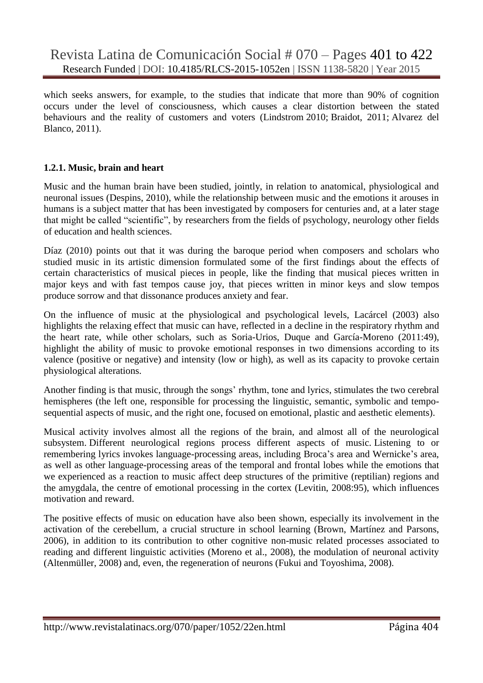which seeks answers, for example, to the studies that indicate that more than 90% of cognition occurs under the level of consciousness, which causes a clear distortion between the stated behaviours and the reality of customers and voters (Lindstrom 2010; Braidot, 2011; Alvarez del Blanco, 2011).

#### **1.2.1. Music, brain and heart**

Music and the human brain have been studied, jointly, in relation to anatomical, physiological and neuronal issues (Despins, 2010), while the relationship between music and the emotions it arouses in humans is a subject matter that has been investigated by composers for centuries and, at a later stage that might be called "scientific", by researchers from the fields of psychology, neurology other fields of education and health sciences.

Díaz (2010) points out that it was during the baroque period when composers and scholars who studied music in its artistic dimension formulated some of the first findings about the effects of certain characteristics of musical pieces in people, like the finding that musical pieces written in major keys and with fast tempos cause joy, that pieces written in minor keys and slow tempos produce sorrow and that dissonance produces anxiety and fear.

On the influence of music at the physiological and psychological levels, Lacárcel (2003) also highlights the relaxing effect that music can have, reflected in a decline in the respiratory rhythm and the heart rate, while other scholars, such as Soria-Urios, Duque and García-Moreno (2011:49), highlight the ability of music to provoke emotional responses in two dimensions according to its valence (positive or negative) and intensity (low or high), as well as its capacity to provoke certain physiological alterations.

Another finding is that music, through the songs" rhythm, tone and lyrics, stimulates the two cerebral hemispheres (the left one, responsible for processing the linguistic, semantic, symbolic and temposequential aspects of music, and the right one, focused on emotional, plastic and aesthetic elements).

Musical activity involves almost all the regions of the brain, and almost all of the neurological subsystem. Different neurological regions process different aspects of music. Listening to or remembering lyrics invokes language-processing areas, including Broca"s area and Wernicke"s area, as well as other language-processing areas of the temporal and frontal lobes while the emotions that we experienced as a reaction to music affect deep structures of the primitive (reptilian) regions and the amygdala, the centre of emotional processing in the cortex (Levitin, 2008:95), which influences motivation and reward.

The positive effects of music on education have also been shown, especially its involvement in the activation of the cerebellum, a crucial structure in school learning (Brown, Martínez and Parsons, 2006), in addition to its contribution to other cognitive non-music related processes associated to reading and different linguistic activities (Moreno et al., 2008), the modulation of neuronal activity (Altenmüller, 2008) and, even, the regeneration of neurons (Fukui and Toyoshima, 2008).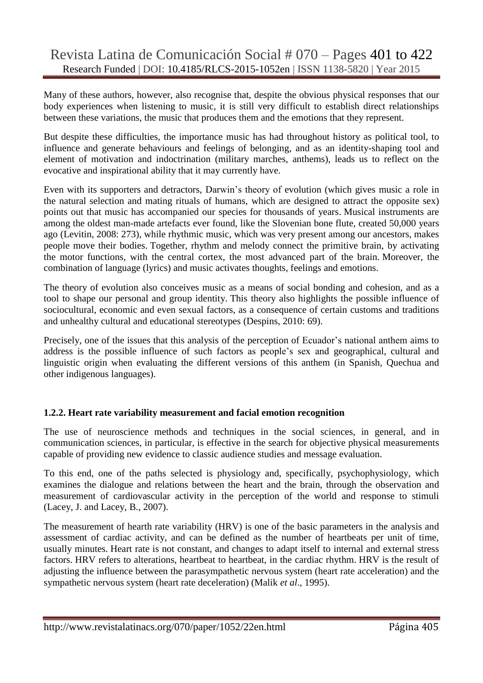Many of these authors, however, also recognise that, despite the obvious physical responses that our body experiences when listening to music, it is still very difficult to establish direct relationships between these variations, the music that produces them and the emotions that they represent.

But despite these difficulties, the importance music has had throughout history as political tool, to influence and generate behaviours and feelings of belonging, and as an identity-shaping tool and element of motivation and indoctrination (military marches, anthems), leads us to reflect on the evocative and inspirational ability that it may currently have.

Even with its supporters and detractors, Darwin"s theory of evolution (which gives music a role in the natural selection and mating rituals of humans, which are designed to attract the opposite sex) points out that music has accompanied our species for thousands of years. Musical instruments are among the oldest man-made artefacts ever found, like the Slovenian bone flute, created 50,000 years ago (Levitin, 2008: 273), while rhythmic music, which was very present among our ancestors, makes people move their bodies. Together, rhythm and melody connect the primitive brain, by activating the motor functions, with the central cortex, the most advanced part of the brain. Moreover, the combination of language (lyrics) and music activates thoughts, feelings and emotions.

The theory of evolution also conceives music as a means of social bonding and cohesion, and as a tool to shape our personal and group identity. This theory also highlights the possible influence of sociocultural, economic and even sexual factors, as a consequence of certain customs and traditions and unhealthy cultural and educational stereotypes (Despins, 2010: 69).

Precisely, one of the issues that this analysis of the perception of Ecuador's national anthem aims to address is the possible influence of such factors as people's sex and geographical, cultural and linguistic origin when evaluating the different versions of this anthem (in Spanish, Quechua and other indigenous languages).

# **1.2.2. Heart rate variability measurement and facial emotion recognition**

The use of neuroscience methods and techniques in the social sciences, in general, and in communication sciences, in particular, is effective in the search for objective physical measurements capable of providing new evidence to classic audience studies and message evaluation.

To this end, one of the paths selected is physiology and, specifically, psychophysiology, which examines the dialogue and relations between the heart and the brain, through the observation and measurement of cardiovascular activity in the perception of the world and response to stimuli (Lacey, J. and Lacey, B., 2007).

The measurement of hearth rate variability (HRV) is one of the basic parameters in the analysis and assessment of cardiac activity, and can be defined as the number of heartbeats per unit of time, usually minutes. Heart rate is not constant, and changes to adapt itself to internal and external stress factors. HRV refers to alterations, heartbeat to heartbeat, in the cardiac rhythm. HRV is the result of adjusting the influence between the parasympathetic nervous system (heart rate acceleration) and the sympathetic nervous system (heart rate deceleration) (Malik *et al*., 1995).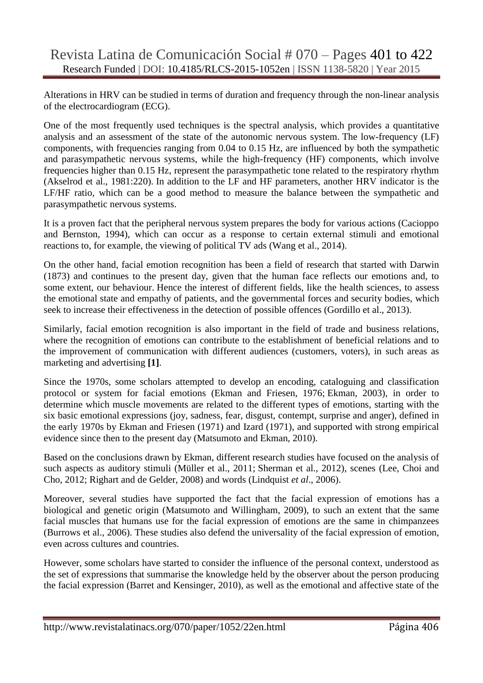Alterations in HRV can be studied in terms of duration and frequency through the non-linear analysis of the electrocardiogram (ECG).

One of the most frequently used techniques is the spectral analysis, which provides a quantitative analysis and an assessment of the state of the autonomic nervous system. The low-frequency (LF) components, with frequencies ranging from 0.04 to 0.15 Hz, are influenced by both the sympathetic and parasympathetic nervous systems, while the high-frequency (HF) components, which involve frequencies higher than 0.15 Hz, represent the parasympathetic tone related to the respiratory rhythm (Akselrod et al., 1981:220). In addition to the LF and HF parameters, another HRV indicator is the LF/HF ratio, which can be a good method to measure the balance between the sympathetic and parasympathetic nervous systems.

It is a proven fact that the peripheral nervous system prepares the body for various actions (Cacioppo and Bernston, 1994), which can occur as a response to certain external stimuli and emotional reactions to, for example, the viewing of political TV ads (Wang et al., 2014).

On the other hand, facial emotion recognition has been a field of research that started with Darwin (1873) and continues to the present day, given that the human face reflects our emotions and, to some extent, our behaviour. Hence the interest of different fields, like the health sciences, to assess the emotional state and empathy of patients, and the governmental forces and security bodies, which seek to increase their effectiveness in the detection of possible offences (Gordillo et al., 2013).

Similarly, facial emotion recognition is also important in the field of trade and business relations, where the recognition of emotions can contribute to the establishment of beneficial relations and to the improvement of communication with different audiences (customers, voters), in such areas as marketing and advertising **[1]**.

Since the 1970s, some scholars attempted to develop an encoding, cataloguing and classification protocol or system for facial emotions (Ekman and Friesen, 1976; Ekman, 2003), in order to determine which muscle movements are related to the different types of emotions, starting with the six basic emotional expressions (joy, sadness, fear, disgust, contempt, surprise and anger), defined in the early 1970s by Ekman and Friesen (1971) and Izard (1971), and supported with strong empirical evidence since then to the present day (Matsumoto and Ekman, 2010).

Based on the conclusions drawn by Ekman, different research studies have focused on the analysis of such aspects as auditory stimuli (Müller et al., 2011; Sherman et al., 2012), scenes (Lee, Choi and Cho, 2012; Righart and de Gelder, 2008) and words (Lindquist *et al*., 2006).

Moreover, several studies have supported the fact that the facial expression of emotions has a biological and genetic origin (Matsumoto and Willingham, 2009), to such an extent that the same facial muscles that humans use for the facial expression of emotions are the same in chimpanzees (Burrows et al., 2006). These studies also defend the universality of the facial expression of emotion, even across cultures and countries.

However, some scholars have started to consider the influence of the personal context, understood as the set of expressions that summarise the knowledge held by the observer about the person producing the facial expression (Barret and Kensinger, 2010), as well as the emotional and affective state of the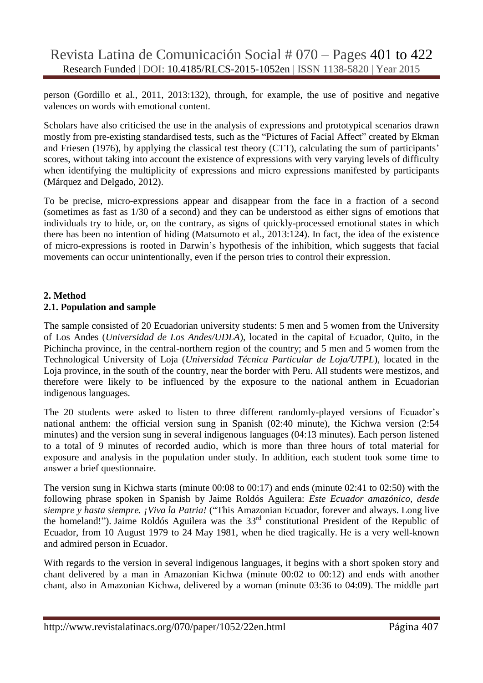person (Gordillo et al., 2011, 2013:132), through, for example, the use of positive and negative valences on words with emotional content.

Scholars have also criticised the use in the analysis of expressions and prototypical scenarios drawn mostly from pre-existing standardised tests, such as the "Pictures of Facial Affect" created by Ekman and Friesen (1976), by applying the classical test theory (CTT), calculating the sum of participants' scores, without taking into account the existence of expressions with very varying levels of difficulty when identifying the multiplicity of expressions and micro expressions manifested by participants (Márquez and Delgado, 2012).

To be precise, micro-expressions appear and disappear from the face in a fraction of a second (sometimes as fast as 1/30 of a second) and they can be understood as either signs of emotions that individuals try to hide, or, on the contrary, as signs of quickly-processed emotional states in which there has been no intention of hiding (Matsumoto et al., 2013:124). In fact, the idea of the existence of micro-expressions is rooted in Darwin"s hypothesis of the inhibition, which suggests that facial movements can occur unintentionally, even if the person tries to control their expression.

## **2. Method 2.1. Population and sample**

The sample consisted of 20 Ecuadorian university students: 5 men and 5 women from the University of Los Andes (*Universidad de Los Andes/UDLA*), located in the capital of Ecuador, Quito, in the Pichincha province, in the central-northern region of the country; and 5 men and 5 women from the Technological University of Loja (*Universidad Técnica Particular de Loja/UTPL*), located in the Loja province, in the south of the country, near the border with Peru. All students were mestizos, and therefore were likely to be influenced by the exposure to the national anthem in Ecuadorian indigenous languages.

The 20 students were asked to listen to three different randomly-played versions of Ecuador's national anthem: the official version sung in Spanish (02:40 minute), the Kichwa version (2:54 minutes) and the version sung in several indigenous languages (04:13 minutes). Each person listened to a total of 9 minutes of recorded audio, which is more than three hours of total material for exposure and analysis in the population under study. In addition, each student took some time to answer a brief questionnaire.

The version sung in Kichwa starts (minute 00:08 to 00:17) and ends (minute 02:41 to 02:50) with the following phrase spoken in Spanish by Jaime Roldós Aguilera: *Este Ecuador amazónico, desde siempre y hasta siempre. ¡Viva la Patria!* ("This Amazonian Ecuador, forever and always. Long live the homeland!"). Jaime Roldós Aguilera was the 33rd constitutional President of the Republic of Ecuador, from 10 August 1979 to 24 May 1981, when he died tragically. He is a very well-known and admired person in Ecuador.

With regards to the version in several indigenous languages, it begins with a short spoken story and chant delivered by a man in Amazonian Kichwa (minute 00:02 to 00:12) and ends with another chant, also in Amazonian Kichwa, delivered by a woman (minute 03:36 to 04:09). The middle part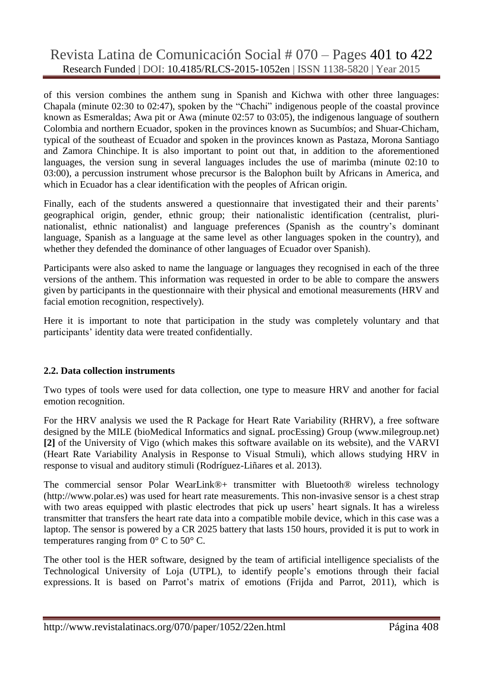of this version combines the anthem sung in Spanish and Kichwa with other three languages: Chapala (minute 02:30 to 02:47), spoken by the "Chachi" indigenous people of the coastal province known as Esmeraldas; Awa pit or Awa (minute 02:57 to 03:05), the indigenous language of southern Colombia and northern Ecuador, spoken in the provinces known as Sucumbíos; and Shuar-Chicham, typical of the southeast of Ecuador and spoken in the provinces known as Pastaza, Morona Santiago and Zamora Chinchipe. It is also important to point out that, in addition to the aforementioned languages, the version sung in several languages includes the use of marimba (minute 02:10 to 03:00), a percussion instrument whose precursor is the Balophon built by Africans in America, and which in Ecuador has a clear identification with the peoples of African origin.

Finally, each of the students answered a questionnaire that investigated their and their parents' geographical origin, gender, ethnic group; their nationalistic identification (centralist, plurinationalist, ethnic nationalist) and language preferences (Spanish as the country"s dominant language, Spanish as a language at the same level as other languages spoken in the country), and whether they defended the dominance of other languages of Ecuador over Spanish).

Participants were also asked to name the language or languages they recognised in each of the three versions of the anthem. This information was requested in order to be able to compare the answers given by participants in the questionnaire with their physical and emotional measurements (HRV and facial emotion recognition, respectively).

Here it is important to note that participation in the study was completely voluntary and that participants' identity data were treated confidentially.

# **2.2. Data collection instruments**

Two types of tools were used for data collection, one type to measure HRV and another for facial emotion recognition.

For the HRV analysis we used the R Package for Heart Rate Variability (RHRV), a free software designed by the MILE (bioMedical Informatics and signaL procEssing) Group [\(www.milegroup.net\)](http://www.milegroup.net/) **[2]** of the University of Vigo (which makes this software available on its website), and the VARVI (Heart Rate Variability Analysis in Response to Visual Stmuli), which allows studying HRV in response to visual and auditory stimuli (Rodríguez-Liñares et al. 2013).

The commercial sensor Polar WearLink®+ transmitter with Bluetooth® wireless technology [\(http://www.polar.es\)](http://www.polar.es/) was used for heart rate measurements. This non-invasive sensor is a chest strap with two areas equipped with plastic electrodes that pick up users' heart signals. It has a wireless transmitter that transfers the heart rate data into a compatible mobile device, which in this case was a laptop. The sensor is powered by a CR 2025 battery that lasts 150 hours, provided it is put to work in temperatures ranging from  $0^{\circ}$  C to 50 $^{\circ}$  C.

The other tool is the HER software, designed by the team of artificial intelligence specialists of the Technological University of Loja (UTPL), to identify people"s emotions through their facial expressions. It is based on Parrot's matrix of emotions (Frijda and Parrot, 2011), which is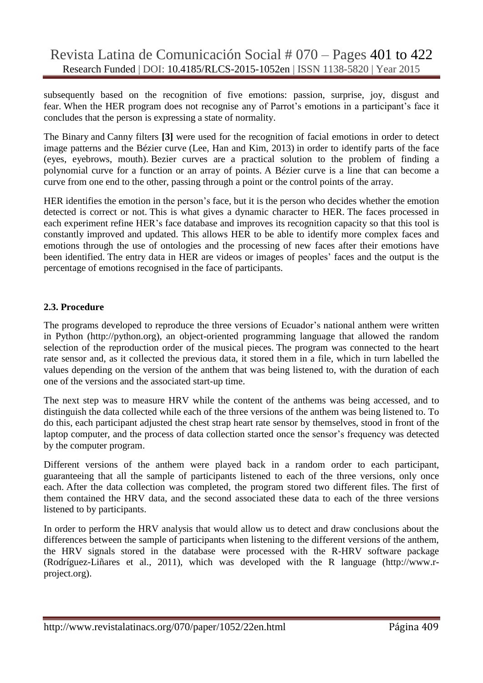subsequently based on the recognition of five emotions: passion, surprise, joy, disgust and fear. When the HER program does not recognise any of Parrot's emotions in a participant's face it concludes that the person is expressing a state of normality.

The Binary and Canny filters **[3]** were used for the recognition of facial emotions in order to detect image patterns and the Bézier curve (Lee, Han and Kim, 2013) in order to identify parts of the face (eyes, eyebrows, mouth). Bezier curves are a practical solution to the problem of finding a polynomial curve for a function or an array of points. A Bézier curve is a line that can become a curve from one end to the other, passing through a point or the control points of the array.

HER identifies the emotion in the person"s face, but it is the person who decides whether the emotion detected is correct or not. This is what gives a dynamic character to HER. The faces processed in each experiment refine HER's face database and improves its recognition capacity so that this tool is constantly improved and updated. This allows HER to be able to identify more complex faces and emotions through the use of ontologies and the processing of new faces after their emotions have been identified. The entry data in HER are videos or images of peoples' faces and the output is the percentage of emotions recognised in the face of participants.

## **2.3. Procedure**

The programs developed to reproduce the three versions of Ecuador"s national anthem were written in Python [\(http://python.org\)](http://python.org/), an object-oriented programming language that allowed the random selection of the reproduction order of the musical pieces. The program was connected to the heart rate sensor and, as it collected the previous data, it stored them in a file, which in turn labelled the values depending on the version of the anthem that was being listened to, with the duration of each one of the versions and the associated start-up time.

The next step was to measure HRV while the content of the anthems was being accessed, and to distinguish the data collected while each of the three versions of the anthem was being listened to. To do this, each participant adjusted the chest strap heart rate sensor by themselves, stood in front of the laptop computer, and the process of data collection started once the sensor's frequency was detected by the computer program.

Different versions of the anthem were played back in a random order to each participant, guaranteeing that all the sample of participants listened to each of the three versions, only once each. After the data collection was completed, the program stored two different files. The first of them contained the HRV data, and the second associated these data to each of the three versions listened to by participants.

In order to perform the HRV analysis that would allow us to detect and draw conclusions about the differences between the sample of participants when listening to the different versions of the anthem, the HRV signals stored in the database were processed with the R-HRV software package (Rodríguez-Liñares et al., 2011), which was developed with the R language [\(http://www.r](http://www.r-project.org/)[project.org\)](http://www.r-project.org/).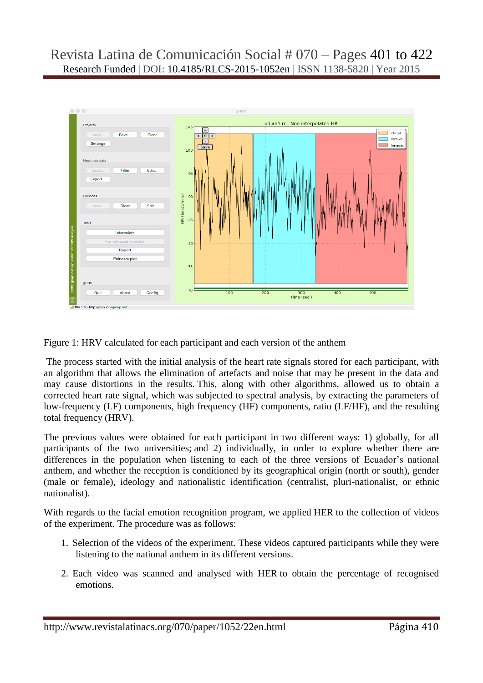

Figure 1: HRV calculated for each participant and each version of the anthem

The process started with the initial analysis of the heart rate signals stored for each participant, with an algorithm that allows the elimination of artefacts and noise that may be present in the data and may cause distortions in the results. This, along with other algorithms, allowed us to obtain a corrected heart rate signal, which was subjected to spectral analysis, by extracting the parameters of low-frequency (LF) components, high frequency (HF) components, ratio (LF/HF), and the resulting total frequency (HRV).

The previous values were obtained for each participant in two different ways: 1) globally, for all participants of the two universities; and 2) individually, in order to explore whether there are differences in the population when listening to each of the three versions of Ecuador's national anthem, and whether the reception is conditioned by its geographical origin (north or south), gender (male or female), ideology and nationalistic identification (centralist, pluri-nationalist, or ethnic nationalist).

With regards to the facial emotion recognition program, we applied HER to the collection of videos of the experiment. The procedure was as follows:

- 1. Selection of the videos of the experiment. These videos captured participants while they were listening to the national anthem in its different versions.
- 2. Each video was scanned and analysed with HER to obtain the percentage of recognised emotions.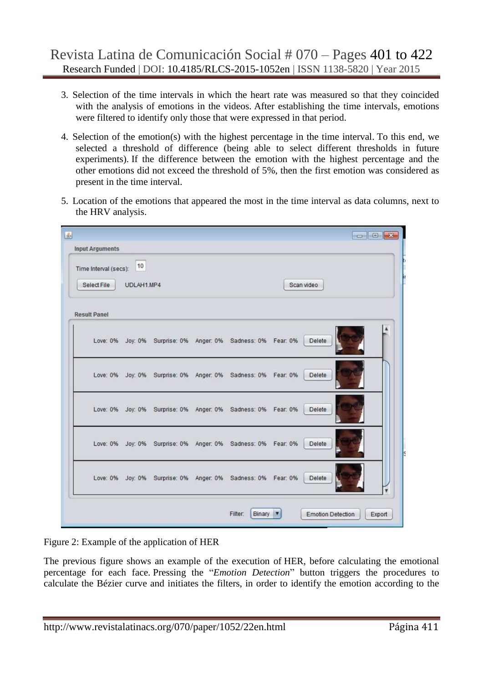- 3. Selection of the time intervals in which the heart rate was measured so that they coincided with the analysis of emotions in the videos. After establishing the time intervals, emotions were filtered to identify only those that were expressed in that period.
- 4. Selection of the emotion(s) with the highest percentage in the time interval. To this end, we selected a threshold of difference (being able to select different thresholds in future experiments). If the difference between the emotion with the highest percentage and the other emotions did not exceed the threshold of 5%, then the first emotion was considered as present in the time interval.
- 5. Location of the emotions that appeared the most in the time interval as data columns, next to the HRV analysis.

| Time Interval (secs): | 10         |  |                                                              |          |            |  |
|-----------------------|------------|--|--------------------------------------------------------------|----------|------------|--|
| Select File           | UDLAH1.MP4 |  |                                                              |          | Scan video |  |
| <b>Result Panel</b>   |            |  |                                                              |          |            |  |
|                       |            |  | Love: 0% Joy: 0% Surprise: 0% Anger: 0% Sadness: 0% Fear: 0% |          | Delete     |  |
|                       |            |  | Love: 0% Joy: 0% Surprise: 0% Anger: 0% Sadness: 0% Fear: 0% |          | Delete     |  |
|                       |            |  | Love: 0% Joy: 0% Surprise: 0% Anger: 0% Sadness: 0% Fear: 0% |          | Delete     |  |
|                       |            |  | Love: 0% Joy: 0% Surprise: 0% Anger: 0% Sadness: 0% Fear: 0% |          | Delete     |  |
|                       |            |  | Love: 0% Joy: 0% Surprise: 0% Anger: 0% Sadness: 0%          | Fear: 0% | Delete     |  |

Figure 2: Example of the application of HER

The previous figure shows an example of the execution of HER, before calculating the emotional percentage for each face. Pressing the "*Emotion Detection*" button triggers the procedures to calculate the Bézier curve and initiates the filters, in order to identify the emotion according to the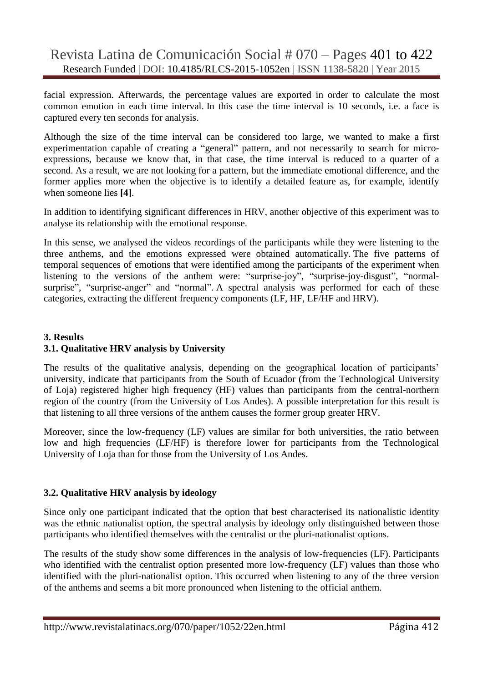facial expression. Afterwards, the percentage values are exported in order to calculate the most common emotion in each time interval. In this case the time interval is 10 seconds, i.e. a face is captured every ten seconds for analysis.

Although the size of the time interval can be considered too large, we wanted to make a first experimentation capable of creating a "general" pattern, and not necessarily to search for microexpressions, because we know that, in that case, the time interval is reduced to a quarter of a second. As a result, we are not looking for a pattern, but the immediate emotional difference, and the former applies more when the objective is to identify a detailed feature as, for example, identify when someone lies **[4]**.

In addition to identifying significant differences in HRV, another objective of this experiment was to analyse its relationship with the emotional response.

In this sense, we analysed the videos recordings of the participants while they were listening to the three anthems, and the emotions expressed were obtained automatically. The five patterns of temporal sequences of emotions that were identified among the participants of the experiment when listening to the versions of the anthem were: "surprise-joy", "surprise-joy-disgust", "normalsurprise", "surprise-anger" and "normal". A spectral analysis was performed for each of these categories, extracting the different frequency components (LF, HF, LF/HF and HRV).

# **3. Results 3.1. Qualitative HRV analysis by University**

The results of the qualitative analysis, depending on the geographical location of participants' university, indicate that participants from the South of Ecuador (from the Technological University of Loja) registered higher high frequency (HF) values than participants from the central-northern region of the country (from the University of Los Andes). A possible interpretation for this result is that listening to all three versions of the anthem causes the former group greater HRV.

Moreover, since the low-frequency (LF) values are similar for both universities, the ratio between low and high frequencies (LF/HF) is therefore lower for participants from the Technological University of Loja than for those from the University of Los Andes.

# **3.2. Qualitative HRV analysis by ideology**

Since only one participant indicated that the option that best characterised its nationalistic identity was the ethnic nationalist option, the spectral analysis by ideology only distinguished between those participants who identified themselves with the centralist or the pluri-nationalist options.

The results of the study show some differences in the analysis of low-frequencies (LF). Participants who identified with the centralist option presented more low-frequency (LF) values than those who identified with the pluri-nationalist option. This occurred when listening to any of the three version of the anthems and seems a bit more pronounced when listening to the official anthem.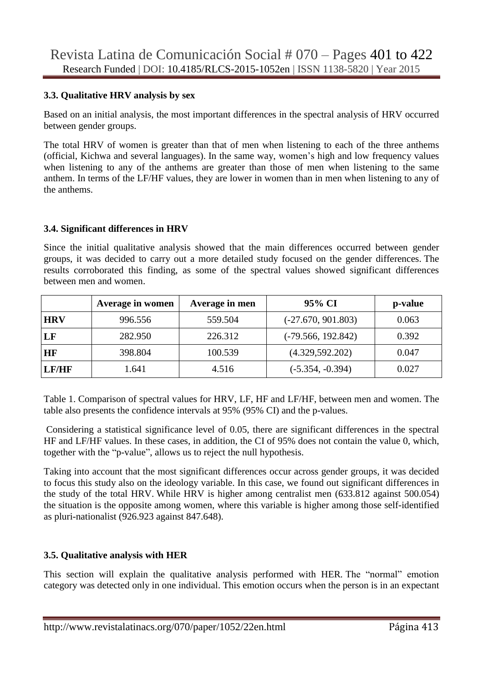#### **3.3. Qualitative HRV analysis by sex**

Based on an initial analysis, the most important differences in the spectral analysis of HRV occurred between gender groups.

The total HRV of women is greater than that of men when listening to each of the three anthems (official, Kichwa and several languages). In the same way, women"s high and low frequency values when listening to any of the anthems are greater than those of men when listening to the same anthem. In terms of the LF/HF values, they are lower in women than in men when listening to any of the anthems.

## **3.4. Significant differences in HRV**

Since the initial qualitative analysis showed that the main differences occurred between gender groups, it was decided to carry out a more detailed study focused on the gender differences. The results corroborated this finding, as some of the spectral values showed significant differences between men and women.

|            | Average in women | Average in men | 95% CI               | p-value |
|------------|------------------|----------------|----------------------|---------|
| <b>HRV</b> | 996.556          | 559.504        | $(-27.670, 901.803)$ | 0.063   |
| LF         | 282.950          | 226.312        | $(-79.566, 192.842)$ | 0.392   |
| <b>HF</b>  | 398.804          | 100.539        | (4.329, 592.202)     | 0.047   |
| LF/HF      | 1.641            | 4.516          | $(-5.354, -0.394)$   | 0.027   |

Table 1. Comparison of spectral values for HRV, LF, HF and LF/HF, between men and women. The table also presents the confidence intervals at 95% (95% CI) and the p-values.

Considering a statistical significance level of 0.05, there are significant differences in the spectral HF and LF/HF values. In these cases, in addition, the CI of 95% does not contain the value 0, which, together with the "p-value", allows us to reject the null hypothesis.

Taking into account that the most significant differences occur across gender groups, it was decided to focus this study also on the ideology variable. In this case, we found out significant differences in the study of the total HRV. While HRV is higher among centralist men (633.812 against 500.054) the situation is the opposite among women, where this variable is higher among those self-identified as pluri-nationalist (926.923 against 847.648).

# **3.5. Qualitative analysis with HER**

This section will explain the qualitative analysis performed with HER*.* The "normal" emotion category was detected only in one individual. This emotion occurs when the person is in an expectant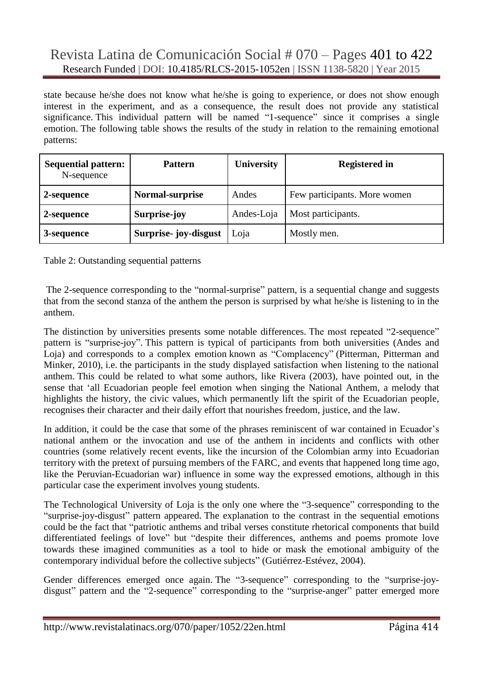state because he/she does not know what he/she is going to experience, or does not show enough interest in the experiment, and as a consequence, the result does not provide any statistical significance. This individual pattern will be named "1-sequence" since it comprises a single emotion. The following table shows the results of the study in relation to the remaining emotional patterns:

| <b>Sequential pattern:</b><br>N-sequence | <b>Pattern</b>        | <b>University</b> | <b>Registered in</b>         |
|------------------------------------------|-----------------------|-------------------|------------------------------|
| 2-sequence                               | Normal-surprise       | Andes             | Few participants. More women |
| 2-sequence                               | Surprise-joy          | Andes-Loja        | Most participants.           |
| 3-sequence                               | Surprise- joy-disgust | Loja              | Mostly men.                  |

#### Table 2: Outstanding sequential patterns

The 2-sequence corresponding to the "normal-surprise" pattern, is a sequential change and suggests that from the second stanza of the anthem the person is surprised by what he/she is listening to in the anthem.

The distinction by universities presents some notable differences. The most repeated "2-sequence" pattern is "surprise-joy". This pattern is typical of participants from both universities (Andes and Loja) and corresponds to a complex emotion known as "Complacency" (Pitterman, Pitterman and Minker, 2010), i.e. the participants in the study displayed satisfaction when listening to the national anthem. This could be related to what some authors, like Rivera (2003), have pointed out, in the sense that "all Ecuadorian people feel emotion when singing the National Anthem, a melody that highlights the history, the civic values, which permanently lift the spirit of the Ecuadorian people, recognises their character and their daily effort that nourishes freedom, justice, and the law.

In addition, it could be the case that some of the phrases reminiscent of war contained in Ecuador's national anthem or the invocation and use of the anthem in incidents and conflicts with other countries (some relatively recent events, like the incursion of the Colombian army into Ecuadorian territory with the pretext of pursuing members of the FARC, and events that happened long time ago, like the Peruvian-Ecuadorian war) influence in some way the expressed emotions, although in this particular case the experiment involves young students.

The Technological University of Loja is the only one where the "3-sequence" corresponding to the "surprise-joy-disgust" pattern appeared. The explanation to the contrast in the sequential emotions could be the fact that "patriotic anthems and tribal verses constitute rhetorical components that build differentiated feelings of love" but "despite their differences, anthems and poems promote love towards these imagined communities as a tool to hide or mask the emotional ambiguity of the contemporary individual before the collective subjects" (Gutiérrez-Estévez, 2004).

Gender differences emerged once again. The "3-sequence" corresponding to the "surprise-joydisgust" pattern and the "2-sequence" corresponding to the "surprise-anger" patter emerged more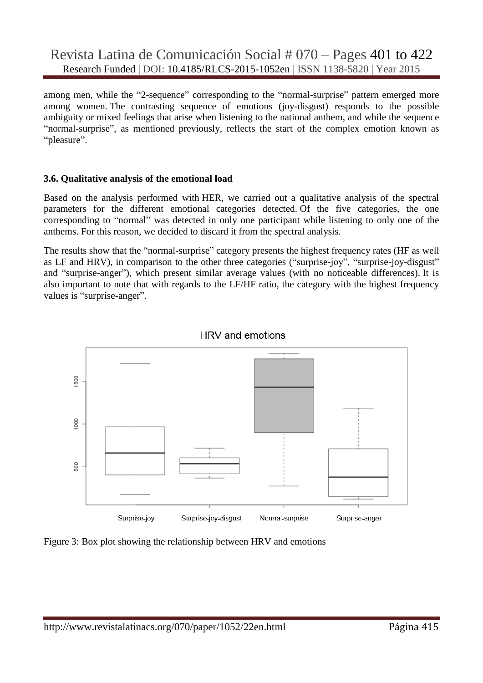among men, while the "2-sequence" corresponding to the "normal-surprise" pattern emerged more among women. The contrasting sequence of emotions (joy-disgust) responds to the possible ambiguity or mixed feelings that arise when listening to the national anthem, and while the sequence "normal-surprise", as mentioned previously, reflects the start of the complex emotion known as "pleasure".

## **3.6. Qualitative analysis of the emotional load**

Based on the analysis performed with HER, we carried out a qualitative analysis of the spectral parameters for the different emotional categories detected. Of the five categories, the one corresponding to "normal" was detected in only one participant while listening to only one of the anthems. For this reason, we decided to discard it from the spectral analysis.

The results show that the "normal-surprise" category presents the highest frequency rates (HF as well as LF and HRV), in comparison to the other three categories ("surprise-joy", "surprise-joy-disgust" and "surprise-anger"), which present similar average values (with no noticeable differences). It is also important to note that with regards to the LF/HF ratio, the category with the highest frequency values is "surprise-anger".





Figure 3: Box plot showing the relationship between HRV and emotions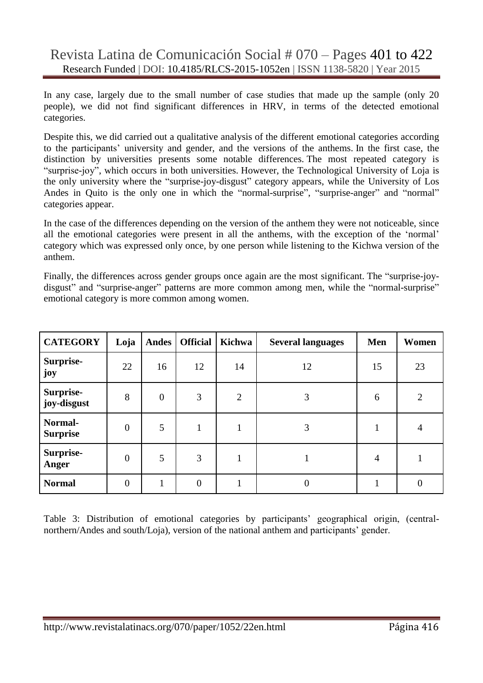In any case, largely due to the small number of case studies that made up the sample (only 20 people), we did not find significant differences in HRV, in terms of the detected emotional categories.

Despite this, we did carried out a qualitative analysis of the different emotional categories according to the participants' university and gender, and the versions of the anthems. In the first case, the distinction by universities presents some notable differences. The most repeated category is "surprise-joy", which occurs in both universities. However, the Technological University of Loja is the only university where the "surprise-joy-disgust" category appears, while the University of Los Andes in Quito is the only one in which the "normal-surprise", "surprise-anger" and "normal" categories appear.

In the case of the differences depending on the version of the anthem they were not noticeable, since all the emotional categories were present in all the anthems, with the exception of the "normal" category which was expressed only once, by one person while listening to the Kichwa version of the anthem.

Finally, the differences across gender groups once again are the most significant. The "surprise-joydisgust" and "surprise-anger" patterns are more common among men, while the "normal-surprise" emotional category is more common among women.

| <b>CATEGORY</b>            | Loja           | <b>Andes</b>   | <b>Official</b> | Kichwa         | <b>Several languages</b> | Men | Women          |
|----------------------------|----------------|----------------|-----------------|----------------|--------------------------|-----|----------------|
| Surprise-<br>joy           | 22             | 16             | 12              | 14             | 12                       | 15  | 23             |
| Surprise-<br>joy-disgust   | 8              | $\overline{0}$ | 3               | $\overline{2}$ | 3                        | 6   | $\overline{2}$ |
| Normal-<br><b>Surprise</b> | $\overline{0}$ | 5              |                 |                | 3                        |     | 4              |
| Surprise-<br>Anger         | $\overline{0}$ | 5              | 3               |                |                          | 4   |                |
| <b>Normal</b>              | $\overline{0}$ | 1              | $\overline{0}$  |                | $\Omega$                 |     | 0              |

Table 3: Distribution of emotional categories by participants' geographical origin, (centralnorthern/Andes and south/Loja), version of the national anthem and participants' gender.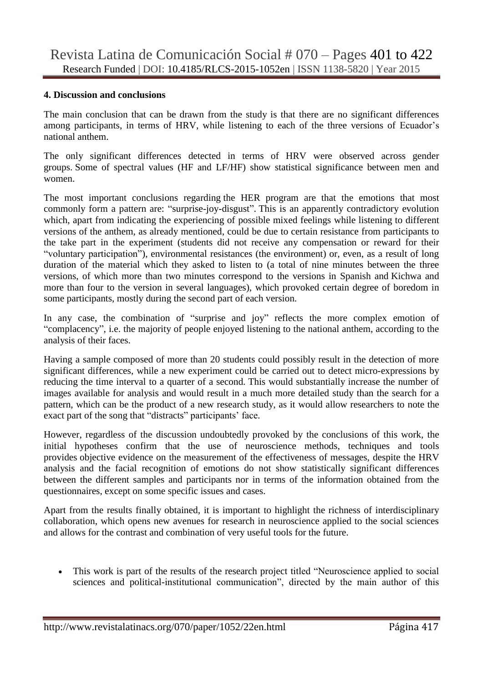#### **4. Discussion and conclusions**

The main conclusion that can be drawn from the study is that there are no significant differences among participants, in terms of HRV, while listening to each of the three versions of Ecuador"s national anthem.

The only significant differences detected in terms of HRV were observed across gender groups. Some of spectral values (HF and LF/HF) show statistical significance between men and women.

The most important conclusions regarding the HER program are that the emotions that most commonly form a pattern are: "surprise-joy-disgust". This is an apparently contradictory evolution which, apart from indicating the experiencing of possible mixed feelings while listening to different versions of the anthem, as already mentioned, could be due to certain resistance from participants to the take part in the experiment (students did not receive any compensation or reward for their "voluntary participation"), environmental resistances (the environment) or, even, as a result of long duration of the material which they asked to listen to (a total of nine minutes between the three versions, of which more than two minutes correspond to the versions in Spanish and Kichwa and more than four to the version in several languages), which provoked certain degree of boredom in some participants, mostly during the second part of each version.

In any case, the combination of "surprise and joy" reflects the more complex emotion of "complacency", i.e. the majority of people enjoyed listening to the national anthem, according to the analysis of their faces.

Having a sample composed of more than 20 students could possibly result in the detection of more significant differences, while a new experiment could be carried out to detect micro-expressions by reducing the time interval to a quarter of a second. This would substantially increase the number of images available for analysis and would result in a much more detailed study than the search for a pattern, which can be the product of a new research study, as it would allow researchers to note the exact part of the song that "distracts" participants' face.

However, regardless of the discussion undoubtedly provoked by the conclusions of this work, the initial hypotheses confirm that the use of neuroscience methods, techniques and tools provides objective evidence on the measurement of the effectiveness of messages, despite the HRV analysis and the facial recognition of emotions do not show statistically significant differences between the different samples and participants nor in terms of the information obtained from the questionnaires, except on some specific issues and cases.

Apart from the results finally obtained, it is important to highlight the richness of interdisciplinary collaboration, which opens new avenues for research in neuroscience applied to the social sciences and allows for the contrast and combination of very useful tools for the future.

 This work is part of the results of the research project titled "Neuroscience applied to social sciences and political-institutional communication", directed by the main author of this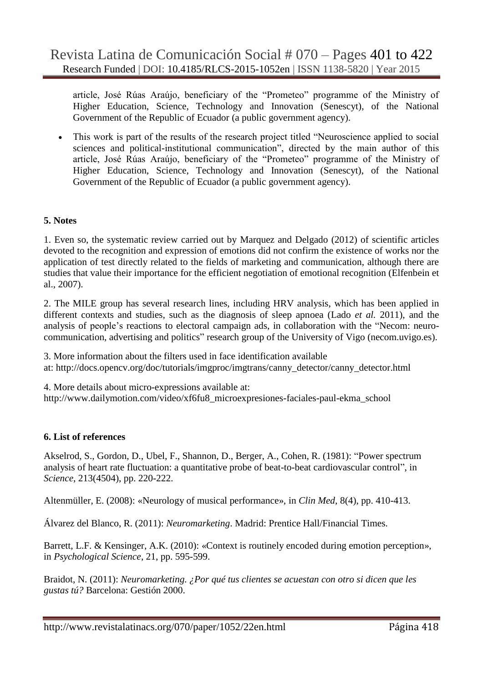article, José Rúas Araújo, beneficiary of the "Prometeo" programme of the Ministry of Higher Education, Science, Technology and Innovation [\(Senescyt\)](proyecto.pdf), of the National Government of the Republic of Ecuador (a public government agency).

 This work is part of the results of the research project titled "Neuroscience applied to social sciences and political-institutional communication", directed by the main author of this article, José Rúas Araújo, beneficiary of the "Prometeo" programme of the Ministry of Higher Education, Science, Technology and Innovation (Senescyt), of the National Government of the Republic of Ecuador (a public government agency).

## **5. Notes**

1. Even so, the systematic review carried out by Marquez and Delgado (2012) of scientific articles devoted to the recognition and expression of emotions did not confirm the existence of works nor the application of test directly related to the fields of marketing and communication, although there are studies that value their importance for the efficient negotiation of emotional recognition (Elfenbein et al., 2007).

2. The MILE group has several research lines, including HRV analysis, which has been applied in different contexts and studies, such as the diagnosis of sleep apnoea (Lado *et al.* 2011), and the analysis of people"s reactions to electoral campaign ads, in collaboration with the "Necom: neurocommunication, advertising and politics" research group of the University of Vigo (necom.uvigo.es).

3. More information about the filters used in face identification available at: [http://docs.opencv.org/doc/tutorials/imgproc/imgtrans/canny\\_detector/canny\\_detector.html](http://docs.opencv.org/doc/tutorials/imgproc/imgtrans/canny_detector/canny_detector.html) 

4. More details about micro-expressions available at: [http://www.dailymotion.com/video/xf6fu8\\_microexpresiones-faciales-paul-ekma\\_school](http://www.dailymotion.com/video/xf6fu8_microexpresiones-faciales-paul-ekma_school)

#### **6. List of references**

Akselrod, S., Gordon, D., Ubel, F., Shannon, D., Berger, A., Cohen, R. (1981): "Power spectrum analysis of heart rate fluctuation: a quantitative probe of beat-to-beat cardiovascular control", in *Science*, 213(4504), pp. 220-222.

Altenmüller, E. (2008): «Neurology of musical performance», in *Clin Med*, 8(4), pp. 410-413.

Álvarez del Blanco, R. (2011): *Neuromarketing*. Madrid: Prentice Hall/Financial Times.

Barrett, L.F. & Kensinger, A.K. (2010): «Context is routinely encoded during emotion perception», in *Psychological Science*, 21, pp. 595-599.

Braidot, N. (2011): *Neuromarketing. ¿Por qué tus clientes se acuestan con otro si dicen que les gustas tú?* Barcelona: Gestión 2000.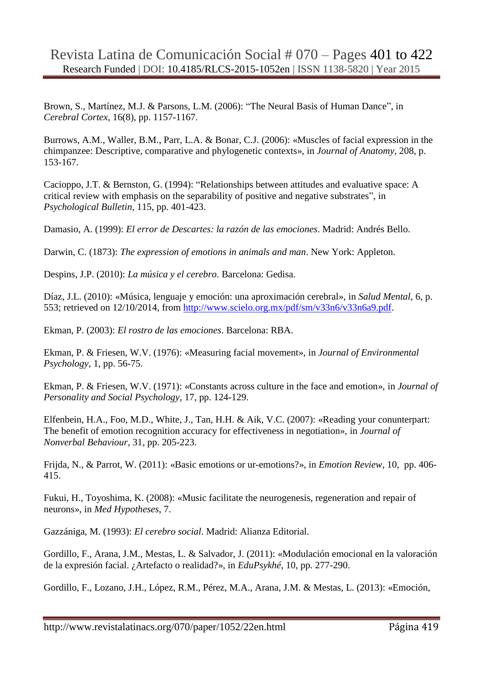Brown, S., Martínez, M.J. & Parsons, L.M. (2006): "The Neural Basis of Human Dance", in *Cerebral Cortex,* 16(8), pp. 1157-1167.

Burrows, A.M., Waller, B.M., Parr, L.A. & Bonar, C.J. (2006): «Muscles of facial expression in the chimpanzee: Descriptive, comparative and phylogenetic contexts», in *Journal of Anatomy*, 208, p. 153-167.

Cacioppo, J.T. & Bernston, G. (1994): "Relationships between attitudes and evaluative space: A critical review with emphasis on the separability of positive and negative substrates", in *Psychological Bulletin,* 115, pp. 401-423.

Damasio, A. (1999): *El error de Descartes: la razón de las emociones*. Madrid: Andrés Bello.

Darwin, C. (1873): *The expression of emotions in animals and man*. New York: Appleton.

Despins, J.P. (2010): *La música y el cerebro*. Barcelona: Gedisa.

Díaz, J.L. (2010): «Música, lenguaje y emoción: una aproximación cerebral», in *Salud Mental*, 6, p. 553; retrieved on 12/10/2014, from [http://www.scielo.org.mx/pdf/sm/v33n6/v33n6a9.pdf.](http://www.scielo.org.mx/pdf/sm/v33n6/v33n6a9.pdf)

Ekman, P. (2003): *El rostro de las emociones*. Barcelona: RBA.

Ekman, P. & Friesen, W.V. (1976): «Measuring facial movement», in *Journal of Environmental Psychology*, 1, pp. 56-75.

Ekman, P. & Friesen, W.V. (1971): «Constants across culture in the face and emotion», in *Journal of Personality and Social Psychology*, 17, pp. 124-129.

Elfenbein, H.A., Foo, M.D., White, J., Tan, H.H. & Aik, V.C. (2007): «Reading your conunterpart: The benefit of emotion recognition accuracy for effectiveness in negotiation», in *Journal of Nonverbal Behaviour*, 31, pp. 205-223.

Frijda, N., & Parrot, W. (2011): «Basic emotions or ur-emotions?», in *Emotion Review*, 10, pp. 406- 415.

Fukui, H., Toyoshima, K. (2008): «Music facilitate the neurogenesis, regeneration and repair of neurons», in *Med Hypotheses*, 7.

Gazzániga, M. (1993): *El cerebro social*. Madrid: Alianza Editorial.

Gordillo, F., Arana, J.M., Mestas, L. & Salvador, J. (2011): «Modulación emocional en la valoración de la expresión facial. ¿Artefacto o realidad?», in *EduPsykhé*, 10, pp. 277-290.

Gordillo, F., Lozano, J.H., López, R.M., Pérez, M.A., Arana, J.M. & Mestas, L. (2013): «Emoción,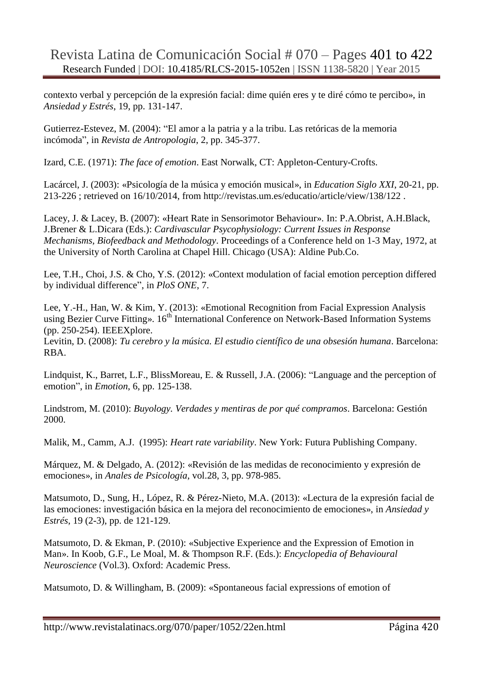contexto verbal y percepción de la expresión facial: dime quién eres y te diré cómo te percibo», in *Ansiedad y Estrés*, 19, pp. 131-147.

Gutierrez-Estevez, M. (2004): "El amor a la patria y a la tribu. Las retóricas de la memoria incómoda", in *Revista de Antropologia*, 2, pp. 345-377.

Izard, C.E. (1971): *The face of emotion*. East Norwalk, CT: Appleton-Century-Crofts.

Lacárcel, J. (2003): «Psicología de la música y emoción musical», in *Education Siglo XXI*, 20-21, pp. 213-226 ; retrieved on 16/10/2014, from <http://revistas.um.es/educatio/article/view/138/122> .

Lacey, J. & Lacey, B. (2007): «Heart Rate in Sensorimotor Behaviour». In: P.A.Obrist, A.H.Black, J.Brener & L.Dicara (Eds.): *Cardivascular Psycophysiology: Current Issues in Response Mechanisms, Biofeedback and Methodology*. Proceedings of a Conference held on 1-3 May, 1972, at the University of North Carolina at Chapel Hill. Chicago (USA): Aldine Pub.Co.

Lee, T.H., Choi, J.S. & Cho, Y.S. (2012): «Context modulation of facial emotion perception differed by individual difference", in *PloS ONE*, 7.

Lee, Y.-H., Han, W. & Kim, Y. (2013): «Emotional Recognition from Facial Expression Analysis using Bezier Curve Fitting». 16<sup>th</sup> International Conference on Network-Based Information Systems (pp. 250-254). IEEEXplore.

Levitin, D. (2008): *Tu cerebro y la música. El estudio científico de una obsesión humana*. Barcelona: RBA.

Lindquist, K., Barret, L.F., BlissMoreau, E. & Russell, J.A. (2006): "Language and the perception of emotion", in *Emotion*, 6, pp. 125-138.

Lindstrom, M. (2010): *Buyology. Verdades y mentiras de por qué compramos*. Barcelona: Gestión 2000.

Malik, M., Camm, A.J. (1995): *Heart rate variability*. New York: Futura Publishing Company.

Márquez, M. & Delgado, A. (2012): «Revisión de las medidas de reconocimiento y expresión de emociones», in *Anales de Psicología*, vol.28, 3, pp. 978-985.

Matsumoto, D., Sung, H., López, R. & Pérez-Nieto, M.A. (2013): «Lectura de la expresión facial de las emociones: investigación básica en la mejora del reconocimiento de emociones», in *Ansiedad y Estrés*, 19 (2-3), pp. de 121-129.

Matsumoto, D. & Ekman, P. (2010): «Subjective Experience and the Expression of Emotion in Man». In Koob, G.F., Le Moal, M. & Thompson R.F. (Eds.): *Encyclopedia of Behavioural Neuroscience* (Vol.3). Oxford: Academic Press.

Matsumoto, D. & Willingham, B. (2009): «Spontaneous facial expressions of emotion of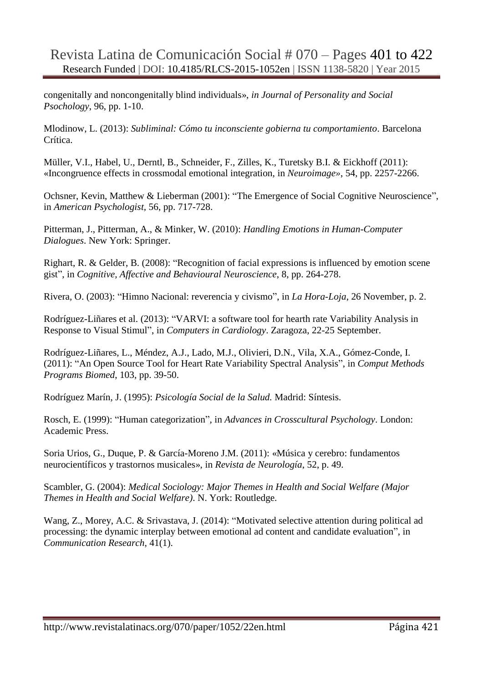congenitally and noncongenitally blind individuals», *in Journal of Personality and Social Psochology*, 96, pp. 1-10.

Mlodinow, L. (2013): *Subliminal: Cómo tu inconsciente gobierna tu comportamiento*. Barcelona Crítica.

Müller, V.I., Habel, U., Derntl, B., Schneider, F., Zilles, K., Turetsky B.I. & Eickhoff (2011): «Incongruence effects in crossmodal emotional integration, in *Neuroimage»*, 54, pp. 2257-2266.

Ochsner, Kevin, Matthew & Lieberman (2001): "The Emergence of Social Cognitive Neuroscience", in *American Psychologist,* 56, pp. 717-728.

Pitterman, J., Pitterman, A., & Minker, W. (2010): *Handling Emotions in Human-Computer Dialogues*. New York: Springer.

Righart, R. & Gelder, B. (2008): "Recognition of facial expressions is influenced by emotion scene gist", in *Cognitive, Affective and Behavioural Neuroscience*, 8, pp. 264-278.

Rivera, O. (2003): "Himno Nacional: reverencia y civismo", in *La Hora-Loja*, 26 November, p. 2.

Rodríguez-Liñares et al. (2013): "VARVI: a software tool for hearth rate Variability Analysis in Response to Visual Stimul", in *Computers in Cardiology*. Zaragoza, 22-25 September.

Rodríguez-Liñares, L., Méndez, A.J., Lado, M.J., Olivieri, D.N., Vila, X.A., Gómez-Conde, I. (2011): "An Open Source Tool for Heart Rate Variability Spectral Analysis", in *Comput Methods Programs Biomed*, 103, pp. 39-50.

Rodríguez Marín, J. (1995): *Psicología Social de la Salud.* Madrid: Síntesis.

Rosch, E. (1999): "Human categorization", in *Advances in Crosscultural Psychology*. London: Academic Press.

Soria Urios, G., Duque, P. & García-Moreno J.M. (2011): «Música y cerebro: fundamentos neurocientíficos y trastornos musicales», in *Revista de Neurología*, 52, p. 49.

Scambler, G. (2004): *Medical Sociology: Major Themes in Health and Social Welfare (Major Themes in Health and Social Welfare)*. N. York: Routledge.

Wang, Z., Morey, A.C. & Srivastava, J. (2014): "Motivated selective attention during political ad processing: the dynamic interplay between emotional ad content and candidate evaluation", in *Communication Research*, 41(1).